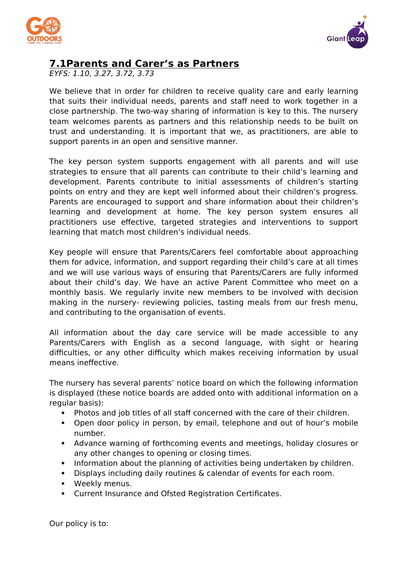



## **7.1Parents and Carer's as Partners**

EYFS: 1.10, 3.27, 3.72, 3.73

We believe that in order for children to receive quality care and early learning that suits their individual needs, parents and staff need to work together in a close partnership. The two-way sharing of information is key to this. The nursery team welcomes parents as partners and this relationship needs to be built on trust and understanding. It is important that we, as practitioners, are able to support parents in an open and sensitive manner.

The key person system supports engagement with all parents and will use strategies to ensure that all parents can contribute to their child's learning and development. Parents contribute to initial assessments of children's starting points on entry and they are kept well informed about their children's progress. Parents are encouraged to support and share information about their children's learning and development at home. The key person system ensures all practitioners use effective, targeted strategies and interventions to support learning that match most children's individual needs.

Key people will ensure that Parents/Carers feel comfortable about approaching them for advice, information, and support regarding their child's care at all times and we will use various ways of ensuring that Parents/Carers are fully informed about their child's day. We have an active Parent Committee who meet on a monthly basis. We regularly invite new members to be involved with decision making in the nursery- reviewing policies, tasting meals from our fresh menu, and contributing to the organisation of events.

All information about the day care service will be made accessible to any Parents/Carers with English as a second language, with sight or hearing difficulties, or any other difficulty which makes receiving information by usual means ineffective.

The nursery has several parents' notice board on which the following information is displayed (these notice boards are added onto with additional information on a regular basis):

- Photos and job titles of all staff concerned with the care of their children.
- Open door policy in person, by email, telephone and out of hour's mobile number.
- Advance warning of forthcoming events and meetings, holiday closures or any other changes to opening or closing times.
- Information about the planning of activities being undertaken by children.
- Displays including daily routines & calendar of events for each room.
- Weekly menus.
- Current Insurance and Ofsted Registration Certificates.

Our policy is to: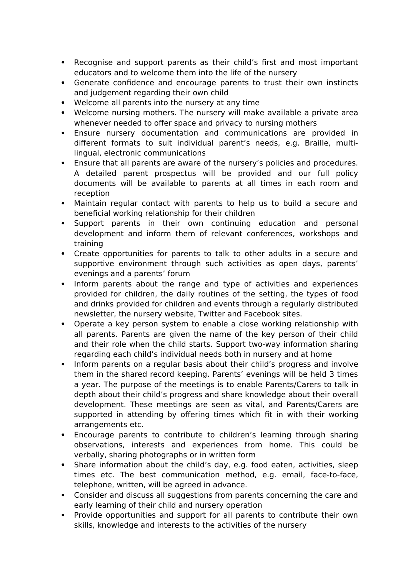- Recognise and support parents as their child's first and most important educators and to welcome them into the life of the nursery
- Generate confidence and encourage parents to trust their own instincts and judgement regarding their own child
- Welcome all parents into the nursery at any time
- Welcome nursing mothers. The nursery will make available a private area whenever needed to offer space and privacy to nursing mothers
- Ensure nursery documentation and communications are provided in different formats to suit individual parent's needs, e.g. Braille, multilingual, electronic communications
- Ensure that all parents are aware of the nursery's policies and procedures. A detailed parent prospectus will be provided and our full policy documents will be available to parents at all times in each room and reception
- Maintain regular contact with parents to help us to build a secure and beneficial working relationship for their children
- Support parents in their own continuing education and personal development and inform them of relevant conferences, workshops and training
- Create opportunities for parents to talk to other adults in a secure and supportive environment through such activities as open days, parents' evenings and a parents' forum
- Inform parents about the range and type of activities and experiences provided for children, the daily routines of the setting, the types of food and drinks provided for children and events through a regularly distributed newsletter, the nursery website, Twitter and Facebook sites.
- Operate a key person system to enable a close working relationship with all parents. Parents are given the name of the key person of their child and their role when the child starts. Support two-way information sharing regarding each child's individual needs both in nursery and at home
- Inform parents on a regular basis about their child's progress and involve them in the shared record keeping. Parents' evenings will be held 3 times a year. The purpose of the meetings is to enable Parents/Carers to talk in depth about their child's progress and share knowledge about their overall development. These meetings are seen as vital, and Parents/Carers are supported in attending by offering times which fit in with their working arrangements etc.
- Encourage parents to contribute to children's learning through sharing observations, interests and experiences from home. This could be verbally, sharing photographs or in written form
- Share information about the child's day, e.g. food eaten, activities, sleep times etc. The best communication method, e.g. email, face-to-face, telephone, written, will be agreed in advance.
- Consider and discuss all suggestions from parents concerning the care and early learning of their child and nursery operation
- Provide opportunities and support for all parents to contribute their own skills, knowledge and interests to the activities of the nursery